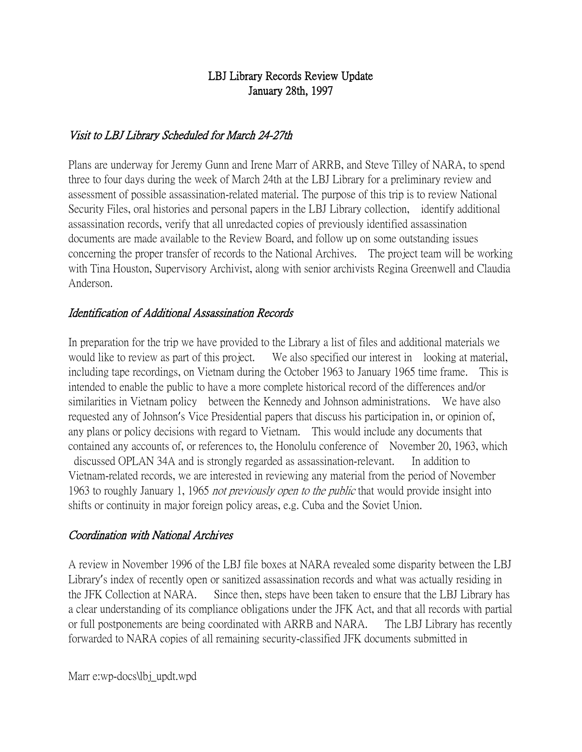## LBJ Library Records Review Update January 28th, 1997

### Visit to LBJ Library Scheduled for March 24-27th

Plans are underway for Jeremy Gunn and Irene Marr of ARRB, and Steve Tilley of NARA, to spend three to four days during the week of March 24th at the LBJ Library for a preliminary review and assessment of possible assassination-related material. The purpose of this trip is to review National Security Files, oral histories and personal papers in the LBJ Library collection, identify additional assassination records, verify that all unredacted copies of previously identified assassination documents are made available to the Review Board, and follow up on some outstanding issues concerning the proper transfer of records to the National Archives. The project team will be working with Tina Houston, Supervisory Archivist, along with senior archivists Regina Greenwell and Claudia Anderson.

### Identification of Additional Assassination Records

In preparation for the trip we have provided to the Library a list of files and additional materials we would like to review as part of this project. We also specified our interest in looking at material, including tape recordings, on Vietnam during the October 1963 to January 1965 time frame. This is intended to enable the public to have a more complete historical record of the differences and/or similarities in Vietnam policy between the Kennedy and Johnson administrations. We have also requested any of Johnson's Vice Presidential papers that discuss his participation in, or opinion of, any plans or policy decisions with regard to Vietnam. This would include any documents that contained any accounts of, or references to, the Honolulu conference of November 20, 1963, which discussed OPLAN 34A and is strongly regarded as assassination-relevant. In addition to Vietnam-related records, we are interested in reviewing any material from the period of November 1963 to roughly January 1, 1965 not previously open to the public that would provide insight into shifts or continuity in major foreign policy areas, e.g. Cuba and the Soviet Union.

#### Coordination with National Archives

A review in November 1996 of the LBJ file boxes at NARA revealed some disparity between the LBJ Library's index of recently open or sanitized assassination records and what was actually residing in the JFK Collection at NARA. Since then, steps have been taken to ensure that the LBJ Library has a clear understanding of its compliance obligations under the JFK Act, and that all records with partial or full postponements are being coordinated with ARRB and NARA. The LBJ Library has recently forwarded to NARA copies of all remaining security-classified JFK documents submitted in

Marr e:wp-docs\lbj\_updt.wpd